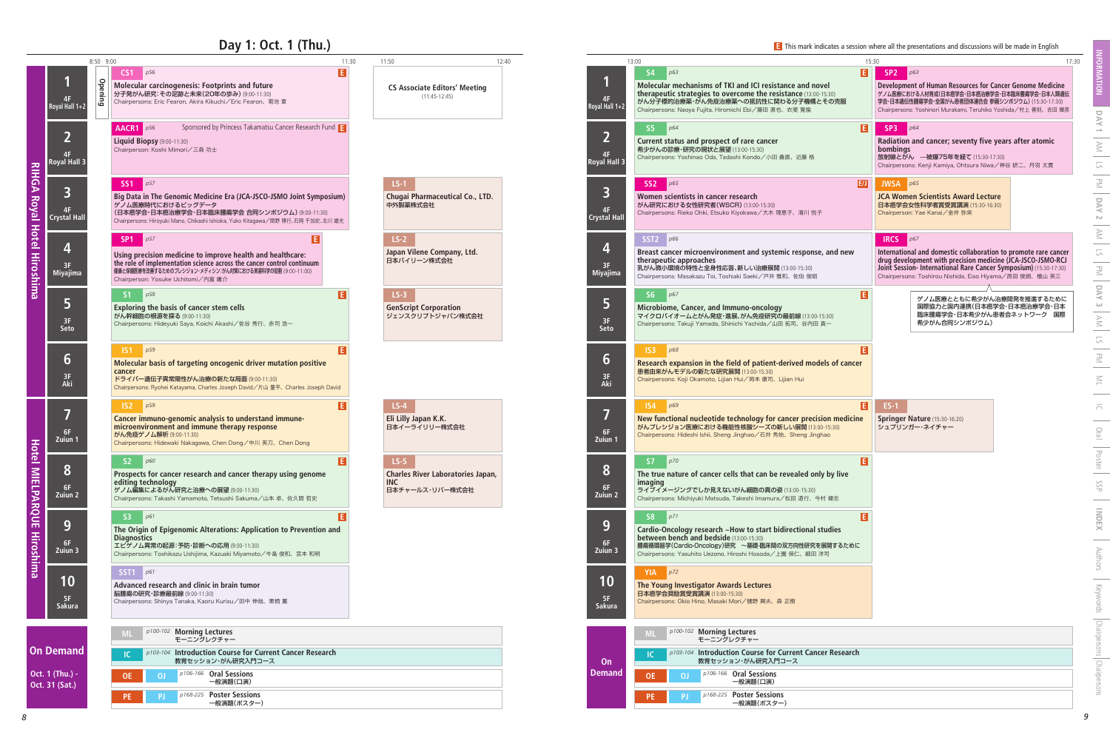## **Day 1: Oct. 1 (Thu.)**

| 15:30          | 17:30                                                                                                                                                                                                                                                                               |
|----------------|-------------------------------------------------------------------------------------------------------------------------------------------------------------------------------------------------------------------------------------------------------------------------------------|
| EI<br>弸        | SP <sub>2</sub><br>p63<br>Development of Human Resources for Cancer Genome Medicine<br>ゲノム医療における人材育成(日本癌学会・日本癌治療学会・日本臨床腫瘍学会・日本人類遺伝<br>学会・日本遺伝性腫瘍学会・全国がん患者団体連合会 参画シンポジウム) (15:30-17:30)<br>Chairpersons: Yoshinori Murakami, Teruhiko Yoshida/村上 善則、吉田 輝彦                            |
| E              | SP <sub>3</sub><br>p64<br>Radiation and cancer; seventy five years after atomic<br>bombings<br>放射線とがん ––被爆75年を経て (15:30-17:30)<br>Chairpersons: Kenji Kamiya, Ohtsura Niwa/神谷研二、丹羽太貫                                                                                                |
| E/J            | <b>JWSA</b><br>p65<br><b>JCA Women Scientists Award Lecture</b><br>日本癌学会女性科学者賞受賞講演 (15:30-16:30)<br>Chairperson: Yae Kanai/金井 弥栄                                                                                                                                                    |
| new            | <b>IRCS</b><br>p67<br>International and domestic collaboration to promote rare cancer<br>drug development with precision medicine (JCA-JSCO-JSMO-RCJ<br>Joint Session- International Rare Cancer Symposium) (15:30-17:30)<br>Chairpersons: Toshirou Nishida, Eiso Hiyama/西田俊朗、檜山 英三 |
| E              | ゲノム医療とともに希少がん治療開発を推進するために<br>国際協力と国内連携(日本癌学会・日本癌治療学会・日本<br>臨床腫瘍学会・日本希少がん患者会ネットワーク 国際<br>希少がん合同シンポジウム)                                                                                                                                                                               |
| E<br>cancer    |                                                                                                                                                                                                                                                                                     |
| E<br>ıedicine  | $ES-1$<br>Springer Nature (15:30-16:20)<br>シュプリンガー・ネイチャー                                                                                                                                                                                                                            |
| E<br>ive       |                                                                                                                                                                                                                                                                                     |
| E<br>S<br>るために |                                                                                                                                                                                                                                                                                     |
|                |                                                                                                                                                                                                                                                                                     |
|                |                                                                                                                                                                                                                                                                                     |
| search         |                                                                                                                                                                                                                                                                                     |
|                |                                                                                                                                                                                                                                                                                     |

|                                               | 8:50 9:00 |                                                                                                                                                                                                                                                                 | 11:30 | 11:50                                                                               | 12:40 |                                         | 13:00                                                                                                                                                                                                                                                  | 15:30 | 17:30                                                                                                                                                                                                                                                                                       |
|-----------------------------------------------|-----------|-----------------------------------------------------------------------------------------------------------------------------------------------------------------------------------------------------------------------------------------------------------------|-------|-------------------------------------------------------------------------------------|-------|-----------------------------------------|--------------------------------------------------------------------------------------------------------------------------------------------------------------------------------------------------------------------------------------------------------|-------|---------------------------------------------------------------------------------------------------------------------------------------------------------------------------------------------------------------------------------------------------------------------------------------------|
| Royal Hall 1+2                                | Opening   | p56<br>CS <sub>1</sub><br>Molecular carcinogenesis: Footprints and future<br>分子発がん研究:その足跡と未来(20年の歩み) (9:00-11:30)<br>Chairpersons: Eric Fearon, Akira Kikuchi / Eric Fearon、菊池章                                                                                 | E     | <b>CS Associate Editors' Meeting</b><br>$(11:45-12:45)$                             |       | 4F<br>Royal Hall 1+2                    | <b>S4</b><br>p63<br>Molecular mechanisms of TKI and ICI resistance and novel<br>therapeutic strategies to overcome the resistance (13:00-15:30)<br>がん分子標的治療薬・がん免疫治療薬への抵抗性に関わる分子機構とその克服<br>Chairpersons: Naoya Fujita, Hiromichi Ebi/藤田 直也、衣斐 寛倫        | B     | SP <sub>2</sub><br>$\big  p63$<br>Development of Human Resources for Cancer Genome Medicine<br>グノム医療における人材育成(日本癌学会・日本癌治療学会・日本臨床腫瘍学会・日本人類遺伝<br>学会・日本遺伝性腫瘍学会・全国がん患者団体連合会 参画シンポジウム) (15:30-17:30)<br>Chairpersons: Yoshinori Murakami. Teruhiko Yoshida / 村上 善則、吉田 輝彦                          |
| <b>Royal Hall 3</b>                           |           | Sponsored by Princess Takamatsu Cancer Research Fund<br>AACR1 $p56$<br>Liquid Biopsy (9:00-11:30)<br>Chairperson: Koshi Mimori/三森 功士                                                                                                                            |       |                                                                                     |       | 4F<br><b>Royal Hall 3</b>               | $\vert$ p64<br>S5<br>Current status and prospect of rare cancer<br>希少がんの診療・研究の現状と展望 (13:00-15:30)<br>Chairpersons: Yoshinao Oda, Tadashi Kondo/小田 義直、近藤 格                                                                                              | E.    | SP3<br>Radiation and cancer; seventy five years after atomic<br>bombings<br>放射線とがん ––被爆75年を経て (15:30-17:30)<br>Chairpersons: Kenji Kamiya, Ohtsura Niwa/神谷研二、丹羽太貫                                                                                                                           |
| $\overline{\mathbf{3}}$<br><b>Crystal Hal</b> |           | SS1 p57<br>Big Data in The Genomic Medicine Era (JCA-JSCO-JSMO Joint Symposium)<br>ゲノム医療時代におけるビッグデータ<br>(日本癌学会・日本癌治療学会・日本臨床腫瘍学会 合同シンポジウム)(9:00-11:30)<br>Chairpersons: Hiroyuki Mano, Chikashi Ishioka, Yuko Kitagawa/間野 博行、石岡 千加史、北川 雄光                        |       | $LS-1$<br>Chugai Pharmaceutical Co., LTD.<br>中外製薬株式会社                               |       | 4F<br><b>Crystal Hal</b>                | SS2 p65<br>Women scientists in cancer research<br>がん研究における女性研究者(WSCR) (13:00-15:30)<br>Chairpersons: Rieko Ohki, Etsuko Kiyokawa/大木理恵子、清川悦子                                                                                                            | E/J   | <b>JWSA</b> $p65$<br>JCA Women Scientists Award Lecture<br>日本癌学会女性科学者賞受賞講演 (15:30-16:30)<br>Chairperson: Yae Kanai/金井 弥栄                                                                                                                                                                    |
| Miyajima                                      |           | SP <sub>1</sub><br>p57<br>Using precision medicine to improve health and healthcare:<br>the role of implementation science across the cancer control continuum<br>健康と保健医療を改善するためのプレシジョン・メディシン:がん対策における実装科学の役割 (9:00-11:00)<br>Chairperson: Yosuke Uchitomi/内富庸介 |       | $LS-2$<br>Japan Vilene Company, Ltd.<br>日本バイリーン株式会社                                 |       | 4<br>3F<br>Miyajima                     | SST2 $p66$<br>Breast cancer microenvironment and systemic response, and new<br>therapeutic approaches<br>乳がん微小環境の特性と全身性応答、新しい治療展開 (13:00-15:30)<br>Chairpersons: Masakazu Toi, Toshiaki Saeki/戸井雅和、佐伯俊昭                                                |       | <b>IRCS</b><br>$\big $ p67<br>International and domestic collaboration to promote rare cancer<br>drug development with precision medicine (JCA-JSCO-JSMO-RCJ<br>Joint Session- International Rare Cancer Symposium) (15:30-17:30)<br>Chairpersons: Toshirou Nishida, Eiso Hiyama/西田俊朗、檜山 英三 |
| 5<br>3F<br>Seto                               |           | p58<br>S1<br>Exploring the basis of cancer stem cells<br>がん幹細胞の根源を探る (9:00-11:30)<br>Chairpersons: Hideyuki Saya, Koichi Akashi/佐谷秀行、赤司浩一                                                                                                                       | E     | $LS-3$<br><b>GenScript Corporation</b><br>ジェンスクリプトジャパン株式会社                          |       | 3F<br>Seto                              | S6<br>p67<br>Microbiome, Cancer, and Immuno-oncology<br>マイクロバイオームとがん発症・進展、がん免疫研究の最前線(13:00-15:30)<br>Chairpersons: Takuji Yamada, Shinichi Yachida/山田拓司、谷内田 真一                                                                                         | П     | ゲノム医療とともに希少がん治療開発を推進するために<br>国際協力と国内連携(日本癌学会・日本癌治療学会・日本<br>臨床腫瘍学会・日本希少がん患者会ネットワーク 国際<br>希少がん合同シンポジウム)                                                                                                                                                                                       |
| $6 \overline{6}$<br>3F<br>Aki                 |           | IS1 p59<br>Molecular basis of targeting oncogenic driver mutation positive<br>cancer<br>ドライバー遺伝子異常陽性がん治療の新たな局面 (9:00-11:30)<br>Chairpersons: Ryohei Katayama, Charles Joseph David/片山 量平、Charles Joseph David                                                   |       |                                                                                     |       | $6\phantom{1}$<br>3F<br>Aki             | IS3<br>p68<br>Research expansion in the field of patient-derived models of cancer<br>患者由来がんモデルの新たな研究展開 (13:00-15:30)<br>Chairpersons: Koji Okamoto, Lijian Hui /岡本 康司、Lijian Hui                                                                       |       |                                                                                                                                                                                                                                                                                             |
| 6F<br>Zuiun 1                                 |           | IS2<br>p59<br>Cancer immuno-genomic analysis to understand immune-<br>microenvironment and immune therapy response<br>がん免疫ゲノム解析 (9:00-11:30)<br>Chairpersons: Hidewaki Nakagawa, Chen Dong/中川 英刀、Chen Dong                                                      | E     | $LS-4$<br>Eli Lilly Japan K.K.<br>日本イーライリリー株式会社                                     |       | 6F<br>Zuiun 1                           | IS4 p69<br>New functional nucleotide technology for cancer precision medicine<br>がんプレシジョン医療における機能性核酸シーズの新しい展開 (13:00-15:30)<br>Chairpersons: Hideshi Ishii, Sheng Jinghao/石井 秀始、Sheng Jinghao                                                          | E     | $ES-1$<br>Springer Nature (15:30-16:20)<br>シュプリンガー・ネイチャー                                                                                                                                                                                                                                    |
| $\bullet$<br>$\bullet$<br>$6F$<br>Zuiun 2     |           | S2<br>p60<br>Prospects for cancer research and cancer therapy using genome<br>editing technology<br>ゲノム編集によるがん研究と治療への展望 (9:00-11:30)<br>Chairpersons: Takashi Yamamoto, Tetsushi Sakuma/山本 卓、佐久間 哲史                                                             |       | $LS-5$<br><b>Charles River Laboratories Japan,</b><br><b>INC</b><br>日本チャールス・リバー株式会社 |       | $\bullet$<br>$\bullet$<br>6F<br>Zuiun 2 | <b>S7</b><br>p70<br>The true nature of cancer cells that can be revealed only by live<br><i>imaging</i><br>ライブイメージングでしか見えないがん細胞の真の姿 (13:00-15:30)<br>Chairpersons: Michiyuki Matsuda, Takeshi Imamura/松田 道行、今村 健志                                      |       |                                                                                                                                                                                                                                                                                             |
| 9<br>6F<br>Zuiun 3                            |           | S3<br>p61<br>The Origin of Epigenomic Alterations: Application to Prevention and<br><b>Diagnostics</b><br>エピゲノム異常の起源:予防・診断への応用 (9:00-11:30)<br>Chairpersons: Toshikazu Ushijima, Kazuaki Miyamoto/牛島俊和、宮本 和明                                                    |       |                                                                                     |       | 9<br>6F<br>Zuiun 3                      | p71<br>S <sub>8</sub><br>Cardio-Oncology research ~How to start bidirectional studies<br><b>between bench and bedside</b> (13:00-15:30)<br>腫瘍循環器学(Cardio-Oncology)研究 ~基礎-臨床間の双方向性研究を展開するために<br>Chairpersons: Yasuhito Uezono, Hiroshi Hosoda/上園保仁、細田洋司 |       |                                                                                                                                                                                                                                                                                             |
| 10<br>- 5F<br>Sakura                          |           | SST1 $p61$<br>Advanced research and clinic in brain tumor<br>脳腫瘍の研究・診療最前線 (9:00-11:30)<br>Chairpersons: Shinya Tanaka, Kaoru Kurisu/田中伸哉、栗栖 薫                                                                                                                   |       |                                                                                     |       | 10<br>5F<br>Sakura                      | $YIA$ $p72$<br>The Young Investigator Awards Lectures<br>日本癌学会奨励賞受賞講演 (13:00-15:30)<br>Chairpersons: Okio Hino, Masaki Mori/樋野 興夫、森 正樹                                                                                                                 |       |                                                                                                                                                                                                                                                                                             |
|                                               |           | p100-102 Morning Lectures<br>モーニングレクチャー                                                                                                                                                                                                                         |       |                                                                                     |       |                                         | p100-102 Morning Lectures<br>モーニングレクチャー                                                                                                                                                                                                                |       |                                                                                                                                                                                                                                                                                             |
| Demand                                        |           | p103-104 Introduction Course for Current Cancer Research<br>教育セッション・がん研究入門コース                                                                                                                                                                                   |       |                                                                                     |       | On                                      | p103-104 Introduction Course for Current Cancer Research<br>教育セッション・がん研究入門コース                                                                                                                                                                          |       |                                                                                                                                                                                                                                                                                             |
| 1 (Thu.) -<br>31 (Sat.)                       |           | p106-166 Oral Sessions<br><sup>0</sup><br>一般演題(口演)                                                                                                                                                                                                              |       |                                                                                     |       | <b>Demand</b>                           | p106-166 Oral Sessions<br><b>OE</b><br><sup>o</sup><br>一般演題(口演)                                                                                                                                                                                        |       |                                                                                                                                                                                                                                                                                             |
|                                               |           | p168-225 Poster Sessions<br>PE.<br>[P<br>一般演題(ポスター)                                                                                                                                                                                                             |       |                                                                                     |       |                                         | p168-225 Poster Sessions<br>PE.<br>PJ.<br>一般演題(ポスター)                                                                                                                                                                                                   |       |                                                                                                                                                                                                                                                                                             |

|         | 11:30<br>11:50                                                                      | 12:40                          | 13:00                                                                                                                                                                                                                                                |
|---------|-------------------------------------------------------------------------------------|--------------------------------|------------------------------------------------------------------------------------------------------------------------------------------------------------------------------------------------------------------------------------------------------|
| Ē.      | <b>CS Associate Editors' Meeting</b><br>$(11:45-12:45)$                             | 4F<br>Royal Hall 1+2           | E<br><b>S4</b><br>p63<br>Molecular mechanisms of TKI and ICI resistance and novel<br>therapeutic strategies to overcome the resistance (13:00-15:30)<br>がん分子標的治療薬・がん免疫治療薬への抵抗性に関わる分子機構とその克服<br>Chairpersons: Naoya Fujita, Hiromichi Ebi/藤田 直也、衣斐 寛倫 |
|         |                                                                                     | 2<br>4F<br><b>Royal Hall 3</b> | E<br><b>S5</b><br>p64<br>Current status and prospect of rare cancer<br>希少がんの診療・研究の現状と展望 (13:00-15:30)<br>Chairpersons: Yoshinao Oda, Tadashi Kondo/小田 義直、近藤 格                                                                                        |
| n)<br>光 | $LS-1$<br>Chugai Pharmaceutical Co., LTD.<br>中外製薬株式会社                               | 3<br>4F<br><b>Crystal Hall</b> | EI.<br>SS <sub>2</sub><br>p65<br>Women scientists in cancer research<br>がん研究における女性研究者(WSCR)(13:00-15:30)<br>Chairpersons: Rieko Ohki, Etsuko Kiyokawa/大木 理恵子、清川 悦子                                                                                   |
|         | $LS-2$<br>Japan Vilene Company, Ltd.<br>日本バイリーン株式会社                                 | 4<br>3F<br><b>Miyajima</b>     | SST <sub>2</sub><br>p66<br>Breast cancer microenvironment and systemic response, and new<br>therapeutic approaches<br>乳がん微小環境の特性と全身性応答、新しい治療展開 (13:00-15:30)<br>Chairpersons: Masakazu Toi, Toshiaki Saeki/戸井 雅和、佐伯 俊昭                               |
|         | $LS-3$<br><b>GenScript Corporation</b><br>ジェンスクリプトジャパン株式会社                          | 5<br>3F<br><b>Seto</b>         | E<br>p67<br>S <sub>6</sub><br>Microbiome, Cancer, and Immuno-oncology<br>マイクロバイオームとがん発症・進展、がん免疫研究の最前線(13:00-15:30)<br>Chairpersons: Takuji Yamada, Shinichi Yachida/山田拓司、谷内田真一                                                                       |
|         |                                                                                     | 6<br>3F<br>Aki                 | Æ<br>p68<br>IS3<br>Research expansion in the field of patient-derived models of cancer<br>患者由来がんモデルの新たな研究展開 (13:00-15:30)<br>Chairpersons: Koji Okamoto, Lijian Hui /岡本 康司、Lijian Hui                                                                |
|         | $LS-4$<br>Eli Lilly Japan K.K.<br>日本イーライリリー株式会社                                     | 7<br>6F<br>Zuiun 1             | Ŀ<br><b>IS4</b><br>p69<br>New functional nucleotide technology for cancer precision medicine<br>がんプレシジョン医療における機能性核酸シーズの新しい展開 (13:00-15:30)<br>Chairpersons: Hideshi Ishii, Sheng Jinghao/石井 秀始、Sheng Jinghao                                         |
| E       | $LS-5$<br><b>Charles River Laboratories Japan,</b><br><b>INC</b><br>日本チャールス・リバー株式会社 | 8<br>6F<br>Zuiun 2             | E<br><b>S7</b><br>p70<br>The true nature of cancer cells that can be revealed only by live<br>imaging<br>ライブイメージングでしか見えないがん細胞の真の姿 (13:00-15:30)<br>Chairpersons: Michiyuki Matsuda, Takeshi Imamura/松田 道行、今村 健志                                      |
|         |                                                                                     | 9<br>6F<br>Zuiun 3             | E<br>p71<br><b>S8</b><br>Cardio-Oncology research ~How to start bidirectional studies<br>between bench and bedside (13:00-15:30)<br>腫瘍循環器学(Cardio-Oncology)研究 ~基礎-臨床間の双方向性研究を展開するために<br>Chairpersons: Yasuhito Uezono, Hiroshi Hosoda/上園保仁、細田洋司      |
|         |                                                                                     | 10<br>5F<br>Sakura             | p72<br><b>YIA</b><br>The Young Investigator Awards Lectures<br>日本癌学会奨励賞受賞講演 (13:00-15:30)<br>Chairpersons: Okio Hino, Masaki Mori/樋野 興夫、森 正樹                                                                                                         |
|         |                                                                                     |                                | p100-102 Morning Lectures<br><b>ML</b><br>モーニングレクチャー<br>p103-104 Introduction Course for Current Cancer Research<br>IC.                                                                                                                              |
|         |                                                                                     | On<br><b>Demand</b>            | 教育セッション・がん研究入門コース<br>$p106-166$ Oral Sessions<br><b>OE</b><br>ΟJ                                                                                                                                                                                     |
|         |                                                                                     |                                | 一般演題(口演)<br>p168-225 Poster Sessions<br>PE.<br><b>PJ</b><br>一般演題(ポスター)                                                                                                                                                                               |

**On** 

**Oct. Oct.** 

**RIHGA Royal Hotel Hiroshima**

**RIHGA Royal Hotel Hiroshima** 

**E** This mark indicates a session where all the presentations and discussions will be made in English

**Hotel MIELPARQUE Hiroshima**

**Hotel MIELPARQUE Hiroshima**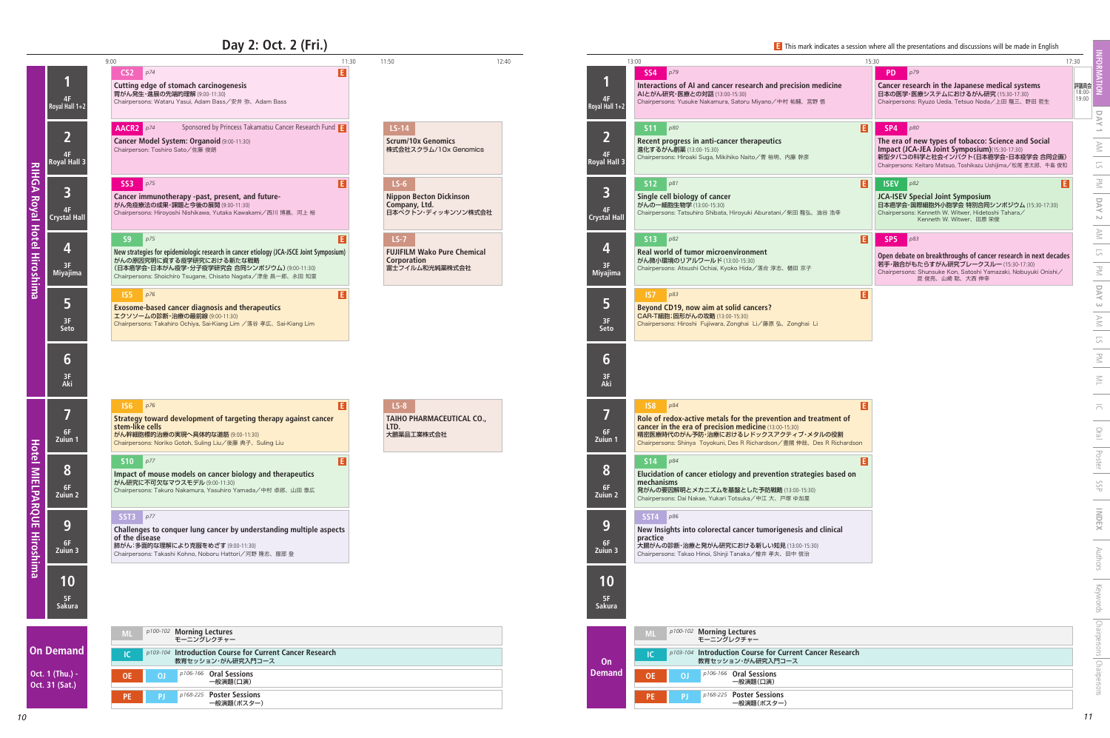## **Day 2: Oct. 2 (Fri.)**

**On Deman** 

**Oct. 1 (Thu.) Oct. 31 (Sat.)**

| 11:30<br>11:50<br>12:40<br>13:00<br>15:30<br>p79<br>PD<br>p79<br>SS <sub>4</sub><br>Interactions of AI and cancer research and precision medicine<br>Cancer research in the Japanese medical systems<br>AIとがん研究·医療との対話 (13:00-15:30)<br>日本の医学・医療システムにおけるがん研究 (15:30-17:30)<br>4F<br>Chairpersons: Yusuke Nakamura, Satoru Miyano/中村 祐輔、宮野 悟<br>Chairpersons: Ryuzo Ueda, Tetsuo Noda/上田 龍三、野田 哲生<br>Royal Hall 1+2<br>$\blacksquare$<br><b>S11</b><br>$LS-14$<br>p80<br>SP4<br>p80<br>$\overline{2}$<br>The era of new types of tobacco: Science and Social<br><b>Scrum/10x Genomics</b><br>Recent progress in anti-cancer therapeutics<br>Impact (JCA-JEA Joint Symposium)(15:30-17:30)<br>株式会社スクラム/10x Genomics<br>進化するがん創薬 (13:00-15:30)<br>4F<br>新型タバコの科学と社会インパクト(日本癌学会・日本疫学会 合同企画)<br>Chairpersons: Hiroaki Suga, Mikihiko Naito/菅裕明、内藤 幹彦<br><b>Royal Hall 3</b><br>Chairpersons: Keitaro Matsuo, Toshikazu Ushijima/松尾 恵太郎、牛島 俊和<br>S12<br>$\blacksquare$<br>$LS-6$<br><b>ISEV</b><br>p82<br>p81<br>3<br>Single cell biology of cancer<br><b>Nippon Becton Dickinson</b><br>JCA-ISEV Special Joint Symposium<br>日本癌学会・国際細胞外小胞学会 特別合同シンポジウム (15:30-17:30)<br>Company, Ltd.<br>がんの一細胞生物学 (13:00-15:30)<br>4F<br>日本ベクトン・ディッキンソン株式会社<br>Chairpersons: Tatsuhiro Shibata, Hiroyuki Aburatani/柴田龍弘、油谷浩幸<br>Chairpersons: Kenneth W. Witwer, Hidetoshi Tahara/<br><b>Crystal Hall</b><br>Kenneth W. Witwer、田原 栄俊<br>E<br>$LS-7$<br><b>S13</b><br>p82<br>SP <sub>5</sub><br>$\vert$ p83<br>4<br>Real world of tumor microenvironment<br><b>FUJIFILM Wako Pure Chemical</b><br>Corporation<br>がん微小環境のリアルワールド (13:00-15:30)<br>若手・融合がもたらすがん研究ブレークスルー (15:30-17:30)<br>3F<br>Chairpersons: Atsushi Ochiai, Kyoko Hida/落合 淳志、樋田 京子<br>富士フイルム和光純薬株式会社<br>Chairpersons: Shunsuke Kon, Satoshi Yamazaki, Nobuyuki Onishi/<br><b>Miyajima</b><br>昆 俊亮、山崎 聡、大西 伸幸 | 17:30<br>評議員会<br>18:00-<br>19:00<br>E<br>Open debate on breakthroughs of cancer research in next decades |
|---------------------------------------------------------------------------------------------------------------------------------------------------------------------------------------------------------------------------------------------------------------------------------------------------------------------------------------------------------------------------------------------------------------------------------------------------------------------------------------------------------------------------------------------------------------------------------------------------------------------------------------------------------------------------------------------------------------------------------------------------------------------------------------------------------------------------------------------------------------------------------------------------------------------------------------------------------------------------------------------------------------------------------------------------------------------------------------------------------------------------------------------------------------------------------------------------------------------------------------------------------------------------------------------------------------------------------------------------------------------------------------------------------------------------------------------------------------------------------------------------------------------------------------------------------------------------------------------------------------------------------------------------------------------------------------------------------------------------------------------------------------------------------------------------------------------------------------------------------|----------------------------------------------------------------------------------------------------------|
|                                                                                                                                                                                                                                                                                                                                                                                                                                                                                                                                                                                                                                                                                                                                                                                                                                                                                                                                                                                                                                                                                                                                                                                                                                                                                                                                                                                                                                                                                                                                                                                                                                                                                                                                                                                                                                                         |                                                                                                          |
|                                                                                                                                                                                                                                                                                                                                                                                                                                                                                                                                                                                                                                                                                                                                                                                                                                                                                                                                                                                                                                                                                                                                                                                                                                                                                                                                                                                                                                                                                                                                                                                                                                                                                                                                                                                                                                                         |                                                                                                          |
|                                                                                                                                                                                                                                                                                                                                                                                                                                                                                                                                                                                                                                                                                                                                                                                                                                                                                                                                                                                                                                                                                                                                                                                                                                                                                                                                                                                                                                                                                                                                                                                                                                                                                                                                                                                                                                                         |                                                                                                          |
|                                                                                                                                                                                                                                                                                                                                                                                                                                                                                                                                                                                                                                                                                                                                                                                                                                                                                                                                                                                                                                                                                                                                                                                                                                                                                                                                                                                                                                                                                                                                                                                                                                                                                                                                                                                                                                                         |                                                                                                          |
| E<br>p83<br>IS7<br>5<br><b>Beyond CD19, now aim at solid cancers?</b><br>CAR-T細胞;固形がんの攻略 (13:00-15:30)<br>3F<br>Chairpersons: Hiroshi Fujiwara, Zonghai Li/藤原弘、Zonghai Li<br><b>Seto</b>                                                                                                                                                                                                                                                                                                                                                                                                                                                                                                                                                                                                                                                                                                                                                                                                                                                                                                                                                                                                                                                                                                                                                                                                                                                                                                                                                                                                                                                                                                                                                                                                                                                                |                                                                                                          |
| 6<br>3F<br>Aki                                                                                                                                                                                                                                                                                                                                                                                                                                                                                                                                                                                                                                                                                                                                                                                                                                                                                                                                                                                                                                                                                                                                                                                                                                                                                                                                                                                                                                                                                                                                                                                                                                                                                                                                                                                                                                          |                                                                                                          |
| E<br>$LS-8$<br>p84<br>IS8<br>7<br><b>TAIHO PHARMACEUTICAL CO.,</b><br>Role of redox-active metals for the prevention and treatment of cancer in the era of precision medicine $(13:00-15:30)$<br>LTD.<br>6F<br>精密医療時代のがん予防・治療におけるレドックスアクティブ・メタルの役割<br>大鵬薬品工業株式会社<br>Zuiun 1<br>Chairpersons: Shinya Toyokuni, Des R Richardson/豊國伸哉、Des R Richardson                                                                                                                                                                                                                                                                                                                                                                                                                                                                                                                                                                                                                                                                                                                                                                                                                                                                                                                                                                                                                                                                                                                                                                                                                                                                                                                                                                                                                                                                                                    |                                                                                                          |
| E<br>p84<br><b>S14</b><br>ŏ<br>Elucidation of cancer etiology and prevention strategies based on<br>mechanisms<br>6F<br>発がんの要因解明とメカニズムを基盤とした予防戦略 (13:00-15:30)<br>Zuiun 2<br>Chairpersons: Dai Nakae, Yukari Totsuka/中江大、戸塚 ゆ加里                                                                                                                                                                                                                                                                                                                                                                                                                                                                                                                                                                                                                                                                                                                                                                                                                                                                                                                                                                                                                                                                                                                                                                                                                                                                                                                                                                                                                                                                                                                                                                                                                         |                                                                                                          |
| $SST4$ $p86$<br>9<br>New Insights into colorectal cancer tumorigenesis and clinical<br>practice<br>6F<br>大腸がんの診断・治療と発がん研究における新しい知見 (13:00-15:30)<br>Zuiun 3<br>Chairpersons: Takao Hinoi, Shinji Tanaka/檜井孝夫、田中信治                                                                                                                                                                                                                                                                                                                                                                                                                                                                                                                                                                                                                                                                                                                                                                                                                                                                                                                                                                                                                                                                                                                                                                                                                                                                                                                                                                                                                                                                                                                                                                                                                                       |                                                                                                          |
| 10<br>5F<br>Sakura                                                                                                                                                                                                                                                                                                                                                                                                                                                                                                                                                                                                                                                                                                                                                                                                                                                                                                                                                                                                                                                                                                                                                                                                                                                                                                                                                                                                                                                                                                                                                                                                                                                                                                                                                                                                                                      |                                                                                                          |
| p100-102 Morning Lectures<br>ML<br>モーニングレクチャー<br>p103-104 Introduction Course for Current Cancer Research<br>教育セッション・がん研究入門コース<br>On<br><b>Demand</b><br>p106-166 Oral Sessions<br><b>OE</b><br>ΟJ<br>一般演題(口演)<br>p168-225 Poster Sessions<br><b>PJ</b><br><b>PE</b>                                                                                                                                                                                                                                                                                                                                                                                                                                                                                                                                                                                                                                                                                                                                                                                                                                                                                                                                                                                                                                                                                                                                                                                                                                                                                                                                                                                                                                                                                                                                                                                    |                                                                                                          |

| Royal Hall 1+2                                 | 9:00<br>p74<br>CS <sub>2</sub><br>Cutting edge of stomach carcinogenesis<br>胃がん発生・進展の先端的理解 (9:00-11:30)<br>Chairpersons: Wataru Yasui, Adam Bass/安井 弥、Adam Bass                                                                                        | 11:30<br>11:50<br>E                                                                  | 12:40<br>4F<br>Royal Hall 1+2                        | 13:00<br>SS4<br>p79<br>Interactions of AI and cancer research and precision medicine<br>AIとがん研究·医療との対話 (13:00-15:30)<br>Chairpersons: Yusuke Nakamura, Satoru Miyano/中村 祐輔、宮野 悟                                                                                     | 15:30<br>17:30<br><b>PD</b><br>p79<br>Cancer research in the Japanese medical systems<br>日本の医学・医療システムにおけるがん研究 (15:30-17:30)<br>Chairpersons: Ryuzo Ueda, Tetsuo Noda/上田 龍三、野田 哲生                                                                    |
|------------------------------------------------|--------------------------------------------------------------------------------------------------------------------------------------------------------------------------------------------------------------------------------------------------------|--------------------------------------------------------------------------------------|------------------------------------------------------|---------------------------------------------------------------------------------------------------------------------------------------------------------------------------------------------------------------------------------------------------------------------|-----------------------------------------------------------------------------------------------------------------------------------------------------------------------------------------------------------------------------------------------------|
| $\overline{2}$<br>Royal Hall                   | Sponsored by Princess Takamatsu Cancer Research Fund<br>AACR2 $p74$<br>Cancer Model System: Organoid (9:00-11:30)<br>Chairperson: Toshiro Sato/佐藤俊朗                                                                                                    | LS-14<br><b>Scrum/10x Genomics</b><br>株式会社スクラム/10x Genomics                          | 4F<br>Royal Hall 3                                   | $S11$ $p80$<br>Recent progress in anti-cancer therapeutics<br>進化するがん創薬 (13:00-15:30)<br>Chairpersons: Hiroaki Suga, Mikihiko Naito/菅裕明、内藤 幹彦                                                                                                                        | $\blacksquare$<br>SP4<br>$\big $ p80<br>The era of new types of tobacco: Science and Social<br>Impact (JCA-JEA Joint Symposium)(15:30-17:30)<br>新型タバコの科学と社会インパクト(日本癌学会・日本疫学会 合同企画)<br>Chairpersons: Keitaro Matsuo, Toshikazu Ushijima/松尾 恵太郎、牛島 俊和 |
| $\overline{\mathbf{3}}$<br><b>Crystal Hall</b> | SS3 p75<br>Cancer immunotherapy -past, present, and future-<br>がん免疫療法の成果・課題と今後の展開 (9:00-11:30)<br>Chairpersons: Hiroyoshi Nishikawa, Yutaka Kawakami/西川博嘉、河上裕                                                                                          | $LS-6$<br><b>Nippon Becton Dickinson</b><br>Company, Ltd.<br>日本ベクトン・ディッキンソン株式会社      | $\overline{\mathbf{3}}$<br>4F<br><b>Crystal Hall</b> | $S12 \quad p81$<br>Single cell biology of cancer<br>がんの一細胞生物学 (13:00-15:30)<br>Chairpersons: Tatsuhiro Shibata, Hiroyuki Aburatani/柴田龍弘、油谷浩幸                                                                                                                        | E<br>F.<br>ISEV $\rho^{82}$<br>JCA-ISEV Special Joint Symposium<br>日本癌学会・国際細胞外小胞学会 特別合同シンポジウム (15:30-17:30)<br>Chairpersons: Kenneth W. Witwer, Hidetoshi Tahara/<br>Kenneth W. Witwer、田原 栄俊                                                        |
| 4<br>3F<br><b>Miyajima</b>                     | <b>S9</b><br>p75<br>New strategies for epidemiologic research in cancer etiology (JCA-JSCE Joint Symposium)<br>がんの原因究明に資する疫学研究における新たな戦略<br>(日本癌学会・日本がん疫学・分子疫学研究会 合同シンポジウム) (9:00-11:30)<br>Chairpersons: Shoichiro Tsugane, Chisato Nagata/津金昌一郎、永田 知里 | $LS-7$<br><b>FUJIFILM Wako Pure Chemical</b><br><b>Corporation</b><br>富士フイルム和光純薬株式会社 | 3F<br>Miyajima                                       | $S13$ $p82$<br>Real world of tumor microenvironment<br>がん微小環境のリアルワールド (13:00-15:30)<br>Chairpersons: Atsushi Ochiai, Kyoko Hida/落合 淳志、樋田 京子                                                                                                                         | E<br>SP <sub>5</sub><br>Open debate on breakthroughs of cancer research in next decades<br>若手・融合がもたらすがん研究ブレークスルー (15:30-17:30)<br>Chairpersons: Shunsuke Kon, Satoshi Yamazaki, Nobuyuki Onishi/<br>昆 俊亮、山崎 聡、大西 伸幸                                 |
| $\overline{5}$<br>3F<br>Seto                   | $\sqrt{155}$ $p76$<br><b>Exosome-based cancer diagnosis and therapeutics</b><br>エクソソームの診断・治療の最前線 (9:00-11:30)<br>Chairpersons: Takahiro Ochiya, Sai-Kiang Lim /落谷 孝広、Sai-Kiang Lim                                                                     |                                                                                      | 57<br>3F<br>Seto                                     | $\sqrt{157}$ $p83$<br>Beyond CD19, now aim at solid cancers?<br>CAR-T細胞;固形がんの攻略 (13:00-15:30)<br>Chairpersons: Hiroshi Fujiwara, Zonghai Li/藤原弘、Zonghai Li                                                                                                          | IE.                                                                                                                                                                                                                                                 |
| 6 <sup>1</sup><br>3F<br>Aki                    |                                                                                                                                                                                                                                                        |                                                                                      | 6<br>3F<br>Aki                                       |                                                                                                                                                                                                                                                                     |                                                                                                                                                                                                                                                     |
| 6F<br>Zuiun 1                                  | $\sqrt{156}$ $p76$<br>Strategy toward development of targeting therapy against cancer<br>stem-like cells<br>がん幹細胞標的治療の実現へ具体的な道筋 (9:00-11:30)<br>Chairpersons: Noriko Gotoh, Suling Liu/後藤 典子、Suling Liu                                                | EI<br>$LS-8$<br>TAIHO PHARMACEUTICAL CO.,<br>LTD.<br>大鵬薬品工業株式会社                      | 6F<br>Zuiun 1                                        | $\frac{158}{158}$ $p84$<br>Role of redox-active metals for the prevention and treatment of<br>cancer in the era of precision medicine (13:00-15:30)<br>精密医療時代のがん予防·治療におけるレドックスアクティブ·メタルの役割<br>Chairpersons: Shinya Toyokuni, Des R Richardson/豊國伸哉、Des R Richardson | E                                                                                                                                                                                                                                                   |
| $\bullet$<br>6F<br>Zuiun 2                     | <b>S10</b> $p^{77}$<br>Impact of mouse models on cancer biology and therapeutics<br>がん研究に不可欠なマウスモデル (9:00-11:30)<br>Chairpersons: Takuro Nakamura, Yasuhiro Yamada/中村 卓郎、山田 泰広                                                                         |                                                                                      | $\bullet$<br>6F<br>Zuiun 2                           | <b>S14</b><br>p84<br>Elucidation of cancer etiology and prevention strategies based on<br>mechanisms<br>発がんの要因解明とメカニズムを基盤とした予防戦略 (13:00-15:30)<br>Chairpersons: Dai Nakae, Yukari Totsuka/中江大、戸塚 ゆ加里                                                                |                                                                                                                                                                                                                                                     |
| 9<br>6F<br>Zuiun 3                             | SST3 $p77$<br>Challenges to conquer lung cancer by understanding multiple aspects<br>of the disease<br>肺がん:多面的な理解により克服をめざす (9:00-11:30)<br>Chairpersons: Takashi Kohno, Noboru Hattori/河野 隆志、服部 登                                                      |                                                                                      | 9<br>6F<br>Zuiun 3                                   | $SST4$ $p86$<br>New Insights into colorectal cancer tumorigenesis and clinical<br>practice<br>大腸がんの診断・治療と発がん研究における新しい知見 (13:00-15:30)<br>Chairpersons: Takao Hinoi, Shinji Tanaka/檜井孝夫、田中信治                                                                         |                                                                                                                                                                                                                                                     |
| 10<br>5F<br>Sakura                             |                                                                                                                                                                                                                                                        |                                                                                      | 10<br>5F<br>Sakura                                   |                                                                                                                                                                                                                                                                     |                                                                                                                                                                                                                                                     |
|                                                | p100-102 Morning Lectures<br>モーニングレクチャー                                                                                                                                                                                                                |                                                                                      |                                                      | p100-102 Morning Lectures<br>モーニングレクチャー                                                                                                                                                                                                                             |                                                                                                                                                                                                                                                     |
| <b>Demand</b>                                  | p103-104 Introduction Course for Current Cancer Research<br>教育セッション・がん研究入門コース                                                                                                                                                                          |                                                                                      | On                                                   | p103-104 Introduction Course for Current Cancer Research<br>教育セッション・がん研究入門コース                                                                                                                                                                                       |                                                                                                                                                                                                                                                     |
| $($ Thu. $)$ -                                 | p106-166 Oral Sessions                                                                                                                                                                                                                                 |                                                                                      | Demand                                               | p106-166 Oral Sessions                                                                                                                                                                                                                                              |                                                                                                                                                                                                                                                     |

**RIHGA Royal Hotel Hiroshima**

**RIHGA Royal Hotel Hiroshima** 

**Hotel MIELPARQUE Hiroshima**

**Hotel MIELPARQUE Hiroshima** 

一般演題(口演)

**Poster Sessions** *p168-225* 一般演題(ポスター)

**PE**

**E** This mark indicates a session where all the presentations and discussions will be made in English

|               | ĖĪ |
|---------------|----|
| t of          |    |
| 割<br>chardson |    |
| ed on         | E  |
| ıl            |    |

| earch |  |  |
|-------|--|--|
|       |  |  |